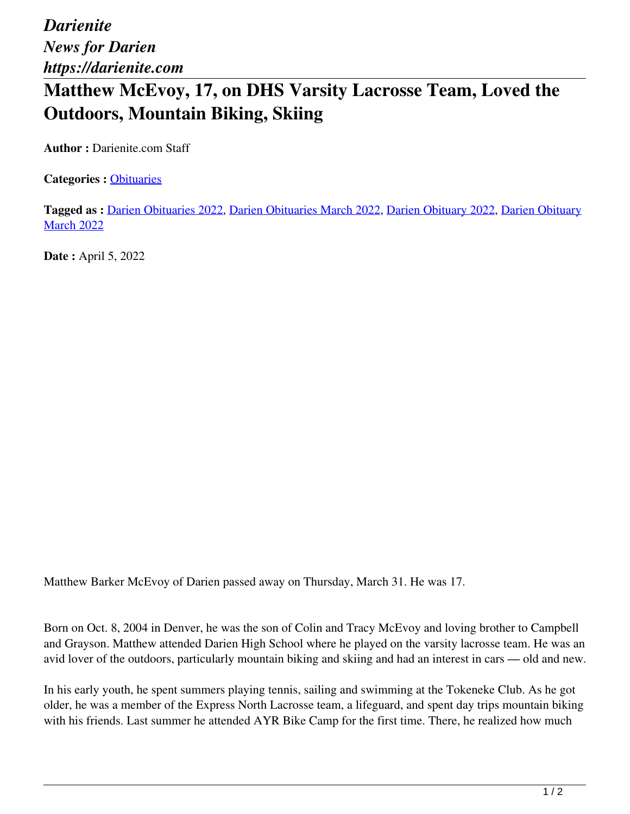*Darienite News for Darien https://darienite.com*

## **Matthew McEvoy, 17, on DHS Varsity Lacrosse Team, Loved the Outdoors, Mountain Biking, Skiing**

**Author :** Darienite.com Staff

**Categories :** [Obituaries](https://darienite.com/category/obituaries)

**Tagged as :** Darien Obituaries 2022, Darien Obituaries March 2022, Darien Obituary 2022, Darien Obituary **March 2022** 

**Date :** April 5, 2022

Matthew Barker McEvoy of Darien passed away on Thursday, March 31. He was 17.

Born on Oct. 8, 2004 in Denver, he was the son of Colin and Tracy McEvoy and loving brother to Campbell and Grayson. Matthew attended Darien High School where he played on the varsity lacrosse team. He was an avid lover of the outdoors, particularly mountain biking and skiing and had an interest in cars — old and new.

In his early youth, he spent summers playing tennis, sailing and swimming at the Tokeneke Club. As he got older, he was a member of the Express North Lacrosse team, a lifeguard, and spent day trips mountain biking with his friends. Last summer he attended AYR Bike Camp for the first time. There, he realized how much